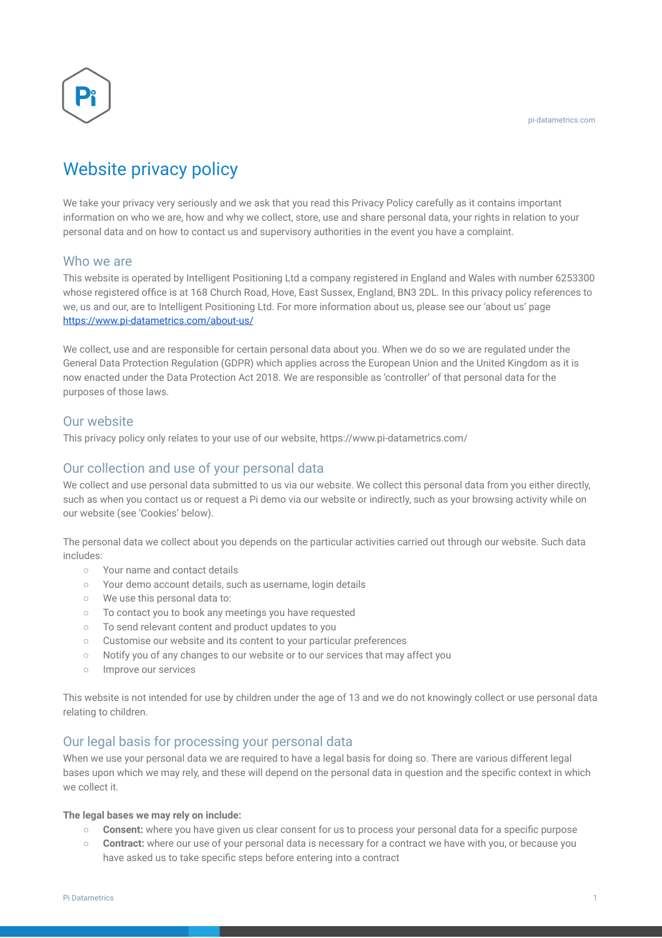

# Website privacy policy

We take your privacy very seriously and we ask that you read this Privacy Policy carefully as it contains important information on who we are, how and why we collect, store, use and share personal data, your rights in relation to your personal data and on how to contact us and supervisory authorities in the event you have a complaint.

## Who we are

This website is operated by Intelligent Positioning Ltd a company registered in England and Wales with number 6253300 whose registered office is at 168 Church Road, Hove, East Sussex, England, BN3 2DL. In this privacy policy references to we, us and our, are to Intelligent Positioning Ltd. For more information about us, please see our 'about us' page <https://www.pi-datametrics.com/about-us/>

We collect, use and are responsible for certain personal data about you. When we do so we are regulated under the General Data Protection Regulation (GDPR) which applies across the European Union and the United Kingdom as it is now enacted under the Data Protection Act 2018. We are responsible as 'controller' of that personal data for the purposes of those laws.

# Our website

This privacy policy only relates to your use of our website, https://www.pi-datametrics.com/

# Our collection and use of your personal data

We collect and use personal data submitted to us via our website. We collect this personal data from you either directly, such as when you contact us or request a Pi demo via our website or indirectly, such as your browsing activity while on our website (see 'Cookies' below).

The personal data we collect about you depends on the particular activities carried out through our website. Such data includes:

- Your name and contact details
- Your demo account details, such as username, login details
- We use this personal data to:
- To contact you to book any meetings you have requested
- To send relevant content and product updates to you
- Customise our website and its content to your particular preferences
- Notify you of any changes to our website or to our services that may affect you
- Improve our services

This website is not intended for use by children under the age of 13 and we do not knowingly collect or use personal data relating to children.

# Our legal basis for processing your personal data

When we use your personal data we are required to have a legal basis for doing so. There are various different legal bases upon which we may rely, and these will depend on the personal data in question and the specific context in which we collect it.

#### **The legal bases we may rely on include:**

- **Consent:** where you have given us clear consent for us to process your personal data for a specific purpose
- **Contract:** where our use of your personal data is necessary for a contract we have with you, or because you have asked us to take specific steps before entering into a contract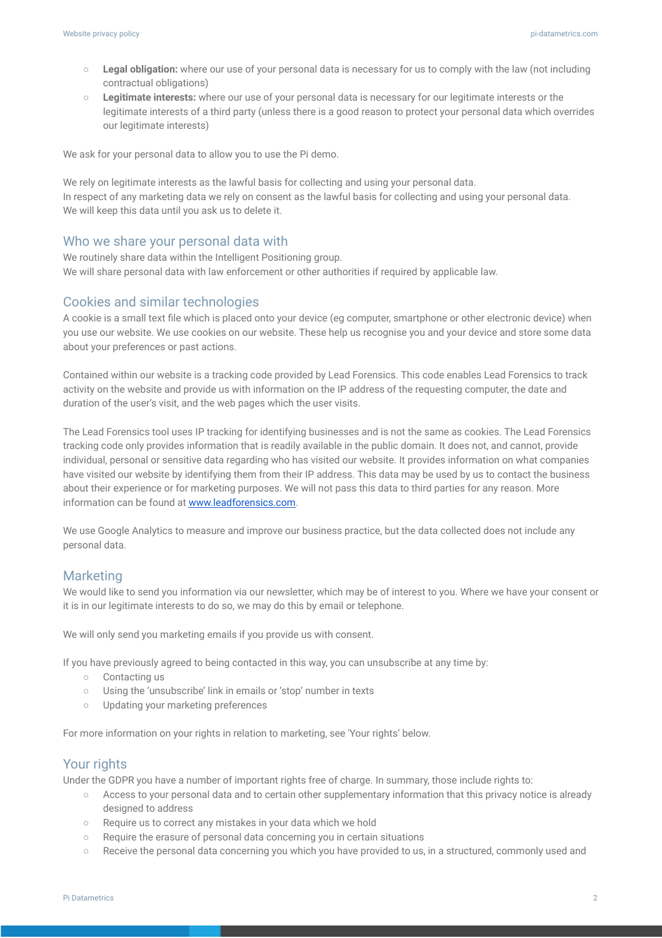- **Legal obligation:** where our use of your personal data is necessary for us to comply with the law (not including contractual obligations)
- **Legitimate interests:** where our use of your personal data is necessary for our legitimate interests or the legitimate interests of a third party (unless there is a good reason to protect your personal data which overrides our legitimate interests)

We ask for your personal data to allow you to use the Pi demo.

We rely on legitimate interests as the lawful basis for collecting and using your personal data. In respect of any marketing data we rely on consent as the lawful basis for collecting and using your personal data. We will keep this data until you ask us to delete it.

#### Who we share your personal data with

We routinely share data within the Intelligent Positioning group. We will share personal data with law enforcement or other authorities if required by applicable law.

#### Cookies and similar technologies

A cookie is a small text file which is placed onto your device (eg computer, smartphone or other electronic device) when you use our website. We use cookies on our website. These help us recognise you and your device and store some data about your preferences or past actions.

Contained within our website is a tracking code provided by Lead Forensics. This code enables Lead Forensics to track activity on the website and provide us with information on the IP address of the requesting computer, the date and duration of the user's visit, and the web pages which the user visits.

The Lead Forensics tool uses IP tracking for identifying businesses and is not the same as cookies. The Lead Forensics tracking code only provides information that is readily available in the public domain. It does not, and cannot, provide individual, personal or sensitive data regarding who has visited our website. It provides information on what companies have visited our website by identifying them from their IP address. This data may be used by us to contact the business about their experience or for marketing purposes. We will not pass this data to third parties for any reason. More information can be found at www.leadforensics.com.

We use Google Analytics to measure and improve our business practice, but the data collected does not include any personal data.

## Marketing

We would like to send you information via our newsletter, which may be of interest to you. Where we have your consent or it is in our legitimate interests to do so, we may do this by email or telephone.

We will only send you marketing emails if you provide us with consent.

If you have previously agreed to being contacted in this way, you can unsubscribe at any time by:

- Contacting us
- Using the 'unsubscribe' link in emails or 'stop' number in texts
- Updating your marketing preferences

For more information on your rights in relation to marketing, see 'Your rights' below.

### Your rights

Under the GDPR you have a number of important rights free of charge. In summary, those include rights to:

- Access to your personal data and to certain other supplementary information that this privacy notice is already designed to address
- Require us to correct any mistakes in your data which we hold
- Require the erasure of personal data concerning you in certain situations
- Receive the personal data concerning you which you have provided to us, in a structured, commonly used and